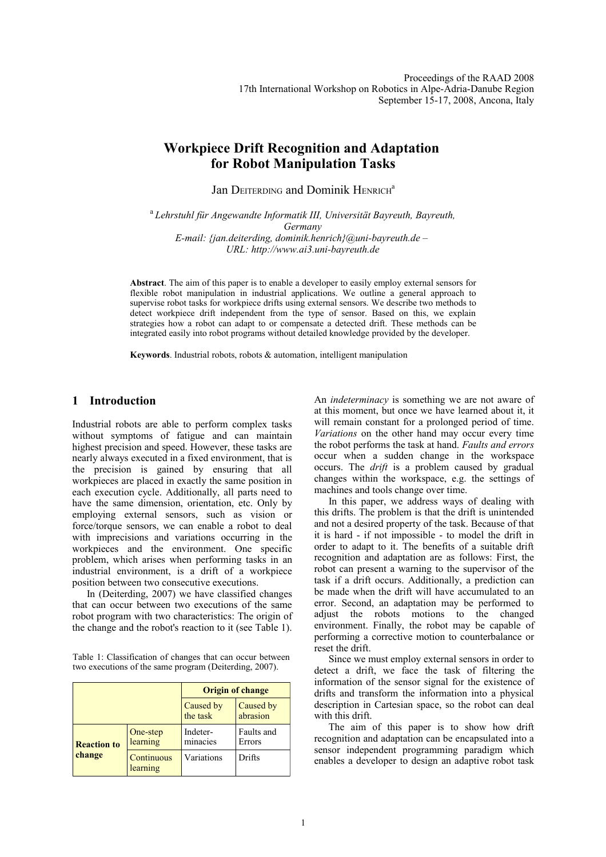# **Workpiece Drift Recognition and Adaptation for Robot Manipulation Tasks**

Jan DEITERDING and Dominik HENRICH<sup>a</sup>

<sup>a</sup>*Lehrstuhl für Angewandte Informatik III, Universität Bayreuth, Bayreuth, Germany E-mail: {jan.deiterding, dominik.henrich}@uni-bayreuth.de – URL: http://www.ai3.uni-bayreuth.de*

**Abstract**. The aim of this paper is to enable a developer to easily employ external sensors for flexible robot manipulation in industrial applications. We outline a general approach to supervise robot tasks for workpiece drifts using external sensors. We describe two methods to detect workpiece drift independent from the type of sensor. Based on this, we explain strategies how a robot can adapt to or compensate a detected drift. These methods can be integrated easily into robot programs without detailed knowledge provided by the developer.

**Keywords**. Industrial robots, robots & automation, intelligent manipulation

# **1 Introduction**

Industrial robots are able to perform complex tasks without symptoms of fatigue and can maintain highest precision and speed. However, these tasks are nearly always executed in a fixed environment, that is the precision is gained by ensuring that all workpieces are placed in exactly the same position in each execution cycle. Additionally, all parts need to have the same dimension, orientation, etc. Only by employing external sensors, such as vision or force/torque sensors, we can enable a robot to deal with imprecisions and variations occurring in the workpieces and the environment. One specific problem, which arises when performing tasks in an industrial environment, is a drift of a workpiece position between two consecutive executions.

In (Deiterding, 2007) we have classified changes that can occur between two executions of the same robot program with two characteristics: The origin of the change and the robot's reaction to it (see Table 1).

Table 1: Classification of changes that can occur between two executions of the same program (Deiterding, 2007).

|                              |                        | <b>Origin of change</b> |                       |
|------------------------------|------------------------|-------------------------|-----------------------|
|                              |                        | Caused by<br>the task   | Caused by<br>abrasion |
| <b>Reaction to</b><br>change | One-step<br>learning   | Indeter-<br>minacies    | Faults and<br>Errors  |
|                              | Continuous<br>learning | Variations              | Drifts                |

An *indeterminacy* is something we are not aware of at this moment, but once we have learned about it, it will remain constant for a prolonged period of time. *Variations* on the other hand may occur every time the robot performs the task at hand. *Faults and errors* occur when a sudden change in the workspace occurs. The *drift* is a problem caused by gradual changes within the workspace, e.g. the settings of machines and tools change over time.

In this paper, we address ways of dealing with this drifts. The problem is that the drift is unintended and not a desired property of the task. Because of that it is hard - if not impossible - to model the drift in order to adapt to it. The benefits of a suitable drift recognition and adaptation are as follows: First, the robot can present a warning to the supervisor of the task if a drift occurs. Additionally, a prediction can be made when the drift will have accumulated to an error. Second, an adaptation may be performed to adjust the robots motions to the changed environment. Finally, the robot may be capable of performing a corrective motion to counterbalance or reset the drift.

Since we must employ external sensors in order to detect a drift, we face the task of filtering the information of the sensor signal for the existence of drifts and transform the information into a physical description in Cartesian space, so the robot can deal with this drift.

The aim of this paper is to show how drift recognition and adaptation can be encapsulated into a sensor independent programming paradigm which enables a developer to design an adaptive robot task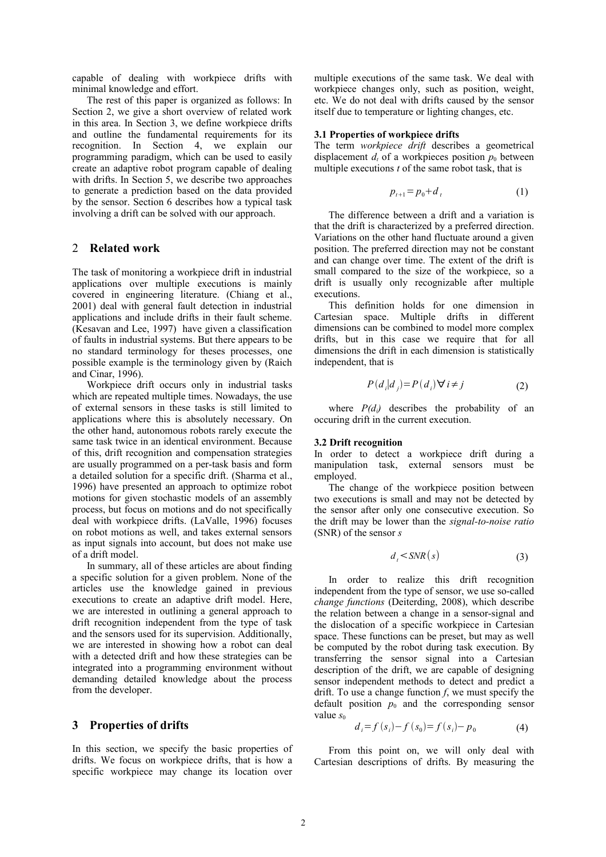capable of dealing with workpiece drifts with minimal knowledge and effort.

The rest of this paper is organized as follows: In Section 2, we give a short overview of related work in this area. In Section 3, we define workpiece drifts and outline the fundamental requirements for its recognition. In Section 4, we explain our programming paradigm, which can be used to easily create an adaptive robot program capable of dealing with drifts. In Section 5, we describe two approaches to generate a prediction based on the data provided by the sensor. Section 6 describes how a typical task involving a drift can be solved with our approach.

# 2 **Related work**

The task of monitoring a workpiece drift in industrial applications over multiple executions is mainly covered in engineering literature. (Chiang et al., 2001) deal with general fault detection in industrial applications and include drifts in their fault scheme. (Kesavan and Lee, 1997) have given a classification of faults in industrial systems. But there appears to be no standard terminology for theses processes, one possible example is the terminology given by (Raich and Cinar, 1996).

Workpiece drift occurs only in industrial tasks which are repeated multiple times. Nowadays, the use of external sensors in these tasks is still limited to applications where this is absolutely necessary. On the other hand, autonomous robots rarely execute the same task twice in an identical environment. Because of this, drift recognition and compensation strategies are usually programmed on a per-task basis and form a detailed solution for a specific drift. (Sharma et al., 1996) have presented an approach to optimize robot motions for given stochastic models of an assembly process, but focus on motions and do not specifically deal with workpiece drifts. (LaValle, 1996) focuses on robot motions as well, and takes external sensors as input signals into account, but does not make use of a drift model.

In summary, all of these articles are about finding a specific solution for a given problem. None of the articles use the knowledge gained in previous executions to create an adaptive drift model. Here, we are interested in outlining a general approach to drift recognition independent from the type of task and the sensors used for its supervision. Additionally, we are interested in showing how a robot can deal with a detected drift and how these strategies can be integrated into a programming environment without demanding detailed knowledge about the process from the developer.

### **3 Properties of drifts**

In this section, we specify the basic properties of drifts. We focus on workpiece drifts, that is how a specific workpiece may change its location over

multiple executions of the same task. We deal with workpiece changes only, such as position, weight, etc. We do not deal with drifts caused by the sensor itself due to temperature or lighting changes, etc.

### **3.1 Properties of workpiece drifts**

The term *workpiece drift* describes a geometrical displacement  $d_t$  of a workpieces position  $p_0$  between multiple executions *t* of the same robot task, that is

$$
p_{t+1} = p_0 + d_t \tag{1}
$$

The difference between a drift and a variation is that the drift is characterized by a preferred direction. Variations on the other hand fluctuate around a given position. The preferred direction may not be constant and can change over time. The extent of the drift is small compared to the size of the workpiece, so a drift is usually only recognizable after multiple executions.

This definition holds for one dimension in Cartesian space. Multiple drifts in different dimensions can be combined to model more complex drifts, but in this case we require that for all dimensions the drift in each dimension is statistically independent, that is

$$
P(d_i|d_j) = P(d_i) \forall i \neq j \tag{2}
$$

where  $P(d_i)$  describes the probability of an occuring drift in the current execution.

#### **3.2 Drift recognition**

In order to detect a workpiece drift during a manipulation task, external sensors must be employed.

The change of the workpiece position between two executions is small and may not be detected by the sensor after only one consecutive execution. So the drift may be lower than the *signal-to-noise ratio* (SNR) of the sensor *s*

$$
d_t \leq SNR(s) \tag{3}
$$

In order to realize this drift recognition independent from the type of sensor, we use so-called *change functions* (Deiterding, 2008), which describe the relation between a change in a sensor-signal and the dislocation of a specific workpiece in Cartesian space. These functions can be preset, but may as well be computed by the robot during task execution. By transferring the sensor signal into a Cartesian description of the drift, we are capable of designing sensor independent methods to detect and predict a drift. To use a change function *f*, we must specify the default position  $p_0$  and the corresponding sensor value *s*<sup>0</sup>

$$
d_i = f(s_i) - f(s_0) = f(s_i) - p_0 \tag{4}
$$

From this point on, we will only deal with Cartesian descriptions of drifts. By measuring the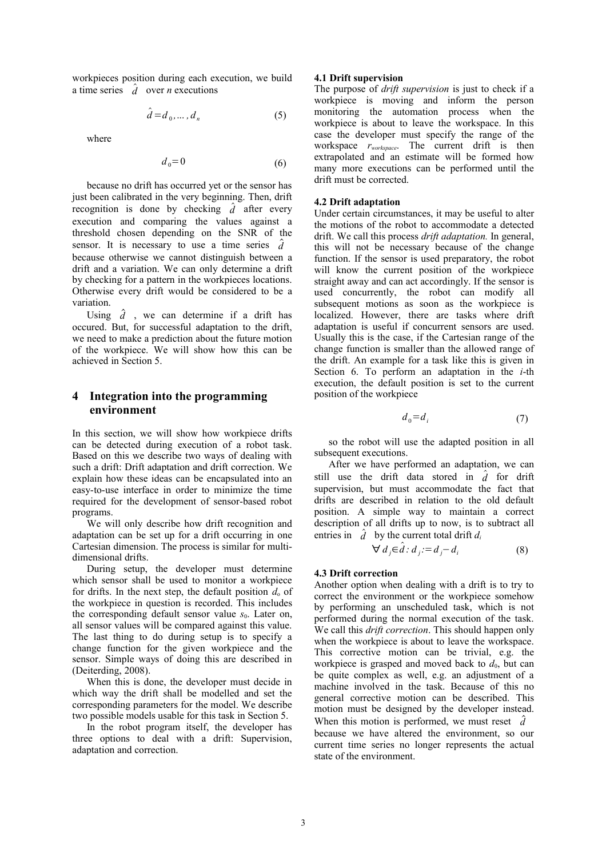workpieces position during each execution, we build a time series  $\hat{d}$  over *n* executions

$$
\hat{d} = d_0, \dots, d_n \tag{5}
$$

where

$$
d_0 = 0 \tag{6}
$$

because no drift has occurred yet or the sensor has just been calibrated in the very beginning. Then, drift recognition is done by checking  $\hat{d}$  after every execution and comparing the values against a threshold chosen depending on the SNR of the sensor. It is necessary to use a time series *d* because otherwise we cannot distinguish between a drift and a variation. We can only determine a drift by checking for a pattern in the workpieces locations. Otherwise every drift would be considered to be a variation.

Using  $\hat{d}$ , we can determine if a drift has occured. But, for successful adaptation to the drift, we need to make a prediction about the future motion of the workpiece. We will show how this can be achieved in Section 5.

# **4 Integration into the programming environment**

In this section, we will show how workpiece drifts can be detected during execution of a robot task. Based on this we describe two ways of dealing with such a drift: Drift adaptation and drift correction. We explain how these ideas can be encapsulated into an easy-to-use interface in order to minimize the time required for the development of sensor-based robot programs.

We will only describe how drift recognition and adaptation can be set up for a drift occurring in one Cartesian dimension. The process is similar for multidimensional drifts.

During setup, the developer must determine which sensor shall be used to monitor a workpiece for drifts. In the next step, the default position  $d_0$  of the workpiece in question is recorded. This includes the corresponding default sensor value  $s_0$ . Later on, all sensor values will be compared against this value. The last thing to do during setup is to specify a change function for the given workpiece and the sensor. Simple ways of doing this are described in (Deiterding, 2008).

When this is done, the developer must decide in which way the drift shall be modelled and set the corresponding parameters for the model. We describe two possible models usable for this task in Section 5.

In the robot program itself, the developer has three options to deal with a drift: Supervision, adaptation and correction.

### **4.1 Drift supervision**

The purpose of *drift supervision* is just to check if a workpiece is moving and inform the person monitoring the automation process when the workpiece is about to leave the workspace. In this case the developer must specify the range of the workspace *rworkspace*. The current drift is then extrapolated and an estimate will be formed how many more executions can be performed until the drift must be corrected.

### **4.2 Drift adaptation**

Under certain circumstances, it may be useful to alter the motions of the robot to accommodate a detected drift. We call this process *drift adaptation.* In general, this will not be necessary because of the change function. If the sensor is used preparatory, the robot will know the current position of the workpiece straight away and can act accordingly. If the sensor is used concurrently, the robot can modify all subsequent motions as soon as the workpiece is localized. However, there are tasks where drift adaptation is useful if concurrent sensors are used. Usually this is the case, if the Cartesian range of the change function is smaller than the allowed range of the drift. An example for a task like this is given in Section 6. To perform an adaptation in the *i*-th execution, the default position is set to the current position of the workpiece

$$
d_0 = d_i \tag{7}
$$

so the robot will use the adapted position in all subsequent executions.

After we have performed an adaptation, we can still use the drift data stored in  $\hat{d}$  for drift supervision, but must accommodate the fact that drifts are described in relation to the old default position. A simple way to maintain a correct description of all drifts up to now, is to subtract all entries in  $\hat{d}$  by the current total drift  $d_i$ 

$$
\forall d_j \in \hat{d} : d_j := d_j - d_i \tag{8}
$$

### **4.3 Drift correction**

Another option when dealing with a drift is to try to correct the environment or the workpiece somehow by performing an unscheduled task, which is not performed during the normal execution of the task. We call this *drift correction*. This should happen only when the workpiece is about to leave the workspace. This corrective motion can be trivial, e.g. the workpiece is grasped and moved back to  $d_0$ , but can be quite complex as well, e.g. an adjustment of a machine involved in the task. Because of this no general corrective motion can be described. This motion must be designed by the developer instead. When this motion is performed, we must reset  $\hat{d}$ because we have altered the environment, so our current time series no longer represents the actual state of the environment.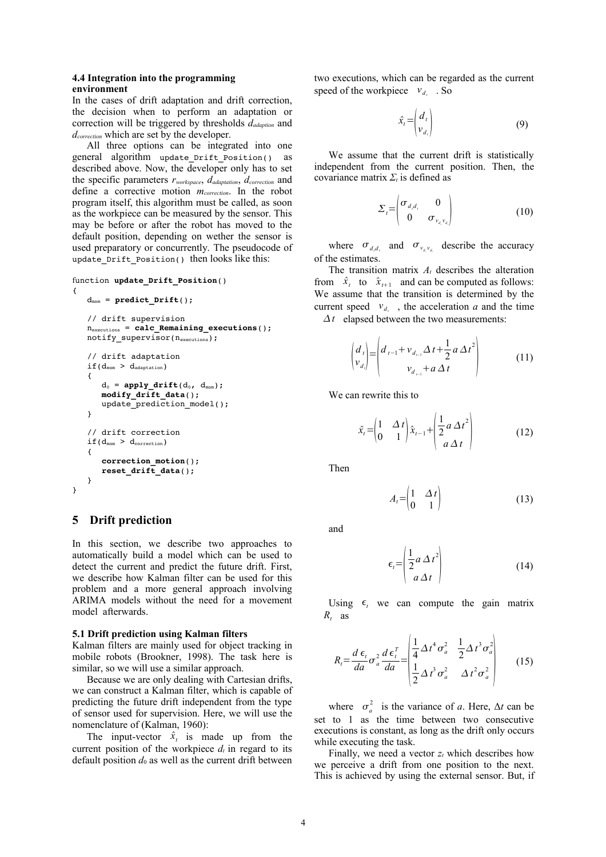# **4.4 Integration into the programming environment**

In the cases of drift adaptation and drift correction, the decision when to perform an adaptation or correction will be triggered by thresholds *dadaption* and *dcorrection* which are set by the developer.

All three options can be integrated into one general algorithm update Drift Position() as described above. Now, the developer only has to set the specific parameters *rworkspace*, *dadaptation*, *dcorrection* and define a corrective motion *mcorrection*. In the robot program itself, this algorithm must be called, as soon as the workpiece can be measured by the sensor. This may be before or after the robot has moved to the default position, depending on wether the sensor is used preparatory or concurrently. The pseudocode of update\_Drift\_Position() then looks like this:

```
function update Drift Position()
{
    d_{\text{mom}} = predict Drift();
       // drift supervision
       nexecutions = calc_Remaining_executions();
    notify\_supervised(n_{executions});   // drift adaptation
    if(d_{mom} > d_{adaptation})   {
        d_0 = apply drift(d_0, d_{\text{mom}});
             modify_drift_data();
              update_prediction_model();
       }
       // drift correction
    if(d_{mom} > d_{correction})   {
              correction_motion();
              reset_drift_data();
       }
}
```
# **5 Drift prediction**

In this section, we describe two approaches to automatically build a model which can be used to detect the current and predict the future drift. First, we describe how Kalman filter can be used for this problem and a more general approach involving ARIMA models without the need for a movement model afterwards.

### **5.1 Drift prediction using Kalman filters**

Kalman filters are mainly used for object tracking in mobile robots (Brookner, 1998). The task here is similar, so we will use a similar approach.

Because we are only dealing with Cartesian drifts, we can construct a Kalman filter, which is capable of predicting the future drift independent from the type of sensor used for supervision. Here, we will use the nomenclature of (Kalman, 1960):

The input-vector  $\hat{x}_t$  is made up from the current position of the workpiece  $d_t$  in regard to its default position  $d_0$  as well as the current drift between two executions, which can be regarded as the current speed of the workpiece  $v_{d_i}$ . So

$$
\hat{x}_t = \begin{pmatrix} d_t \\ v_{d_t} \end{pmatrix} \tag{9}
$$

We assume that the current drift is statistically independent from the current position. Then, the covariance matrix *Σ<sup>t</sup>* is defined as

$$
\Sigma_{i} = \begin{pmatrix} \sigma_{d,d_{i}} & 0 \\ 0 & \sigma_{v_{d},v_{d_{i}}} \end{pmatrix}
$$
 (10)

where  $\sigma_{d,d}$  and  $\sigma_{v_{d},v_{d}}$  describe the accuracy of the estimates.

The transition matrix *At* describes the alteration from  $\hat{x}_t$  to  $\hat{x}_{t+1}$  and can be computed as follows: We assume that the transition is determined by the current speed  $v_{d_i}$ , the acceleration *a* and the time  $\Delta t$  elapsed between the two measurements:

$$
\begin{pmatrix} d_t \\ v_{d_t} \end{pmatrix} = \begin{pmatrix} d_{t-1} + v_{d_{t-1}} \Delta t + \frac{1}{2} a \Delta t^2 \\ v_{d_{t-1}} + a \Delta t \end{pmatrix}
$$
 (11)

We can rewrite this to

$$
\hat{x}_t = \begin{pmatrix} 1 & \Delta t \\ 0 & 1 \end{pmatrix} \hat{x}_{t-1} + \begin{pmatrix} \frac{1}{2} a \Delta t^2 \\ a \Delta t \end{pmatrix}
$$
 (12)

 $\overline{1}$ 

Then

$$
A_t = \begin{pmatrix} 1 & \Delta t \\ 0 & 1 \end{pmatrix} \tag{13}
$$

and

$$
\epsilon_t = \left(\frac{1}{2}a\,\Delta\,t^2\right) \tag{14}
$$

Using  $\epsilon$ , we can compute the gain matrix  $R_t$  as

$$
R_{i} = \frac{d \epsilon_{i}}{da} \sigma_{a}^{2} \frac{d \epsilon_{i}^{T}}{da} = \begin{vmatrix} \frac{1}{4} \Delta t^{4} \sigma_{a}^{2} & \frac{1}{2} \Delta t^{3} \sigma_{a}^{2} \\ \frac{1}{2} \Delta t^{3} \sigma_{a}^{2} & \Delta t^{2} \sigma_{a}^{2} \end{vmatrix}
$$
 (15)

where  $\sigma_a^2$  is the variance of *a*. Here,  $\Delta t$  can be set to 1 as the time between two consecutive executions is constant, as long as the drift only occurs while executing the task.

Finally, we need a vector  $z_t$  which describes how we perceive a drift from one position to the next. This is achieved by using the external sensor. But, if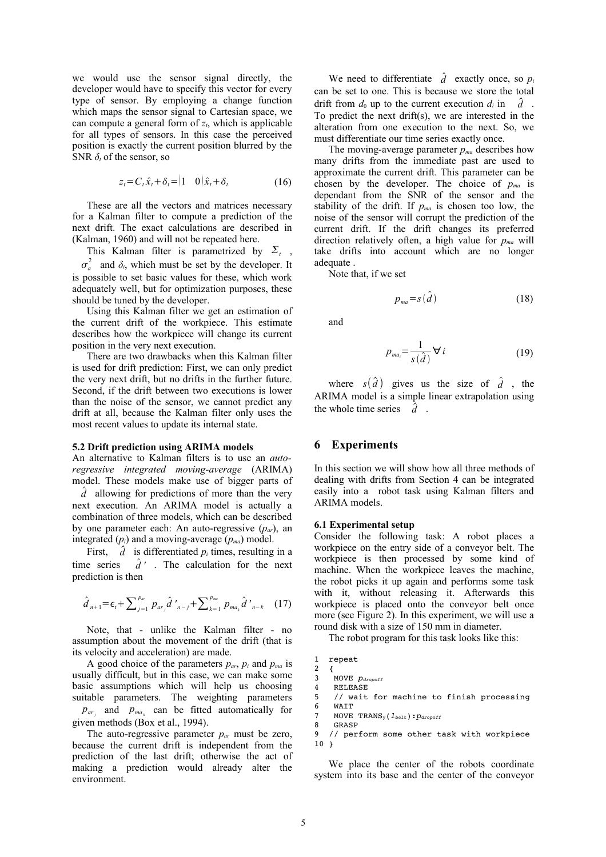we would use the sensor signal directly, the developer would have to specify this vector for every type of sensor. By employing a change function which maps the sensor signal to Cartesian space, we can compute a general form of *zt*, which is applicable for all types of sensors. In this case the perceived position is exactly the current position blurred by the SNR  $\delta_t$  of the sensor, so

$$
z_t = C_t \hat{x}_t + \delta_t = (1 \quad 0) \hat{x}_t + \delta_t \tag{16}
$$

These are all the vectors and matrices necessary for a Kalman filter to compute a prediction of the next drift. The exact calculations are described in (Kalman, 1960) and will not be repeated here.

This Kalman filter is parametrized by  $\Sigma_t$ ,

 $\sigma_a^2$  and  $\delta_t$ , which must be set by the developer. It is possible to set basic values for these, which work adequately well, but for optimization purposes, these should be tuned by the developer.

Using this Kalman filter we get an estimation of the current drift of the workpiece. This estimate describes how the workpiece will change its current position in the very next execution.

There are two drawbacks when this Kalman filter is used for drift prediction: First, we can only predict the very next drift, but no drifts in the further future. Second, if the drift between two executions is lower than the noise of the sensor, we cannot predict any drift at all, because the Kalman filter only uses the most recent values to update its internal state.

#### **5.2 Drift prediction using ARIMA models**

An alternative to Kalman filters is to use an *autoregressive integrated moving-average* (ARIMA) model. These models make use of bigger parts of

*d* allowing for predictions of more than the very next execution. An ARIMA model is actually a combination of three models, which can be described by one parameter each: An auto-regressive (*par*), an integrated  $(p_i)$  and a moving-average  $(p_{ma})$  model.

First,  $\hat{d}$  is differentiated  $p_i$  times, resulting in a time series  $\hat{d}'$ . The calculation for the next prediction is then

$$
\hat{d}_{n+1} = \epsilon_t + \sum_{j=1}^{p_{av}} p_{ar_j} \hat{d}_{n-j} + \sum_{k=1}^{p_{ma}} p_{ma_k} \hat{d}_{n-k} \quad (17)
$$

Note, that - unlike the Kalman filter - no assumption about the movement of the drift (that is its velocity and acceleration) are made.

A good choice of the parameters  $p_{ar}$ ,  $p_i$  and  $p_{ma}$  is usually difficult, but in this case, we can make some basic assumptions which will help us choosing suitable parameters. The weighting parameters

 $p_{ar}$  and  $p_{ma}$  can be fitted automatically for given methods (Box et al., 1994).

The auto-regressive parameter  $p_{\alpha r}$  must be zero, because the current drift is independent from the prediction of the last drift; otherwise the act of making a prediction would already alter the environment.

We need to differentiate  $\hat{d}$  exactly once, so  $p_i$ can be set to one. This is because we store the total drift from  $d_0$  up to the current execution  $d_i$  in  $\hat{d}$ . To predict the next drift(s), we are interested in the alteration from one execution to the next. So, we must differentiate our time series exactly once.

The moving-average parameter  $p_{ma}$  describes how many drifts from the immediate past are used to approximate the current drift. This parameter can be chosen by the developer. The choice of *pma* is dependant from the SNR of the sensor and the stability of the drift. If  $p_{ma}$  is chosen too low, the noise of the sensor will corrupt the prediction of the current drift. If the drift changes its preferred direction relatively often, a high value for *pma* will take drifts into account which are no longer adequate .

Note that, if we set

$$
p_{ma} = s(\hat{d}) \tag{18}
$$

and

$$
p_{ma_i} = \frac{1}{s(\hat{d})} \forall i
$$
 (19)

where  $s(\hat{d})$  gives us the size of  $\hat{d}$ , the ARIMA model is a simple linear extrapolation using the whole time series  $\hat{d}$ .

# **6 Experiments**

In this section we will show how all three methods of dealing with drifts from Section 4 can be integrated easily into a robot task using Kalman filters and ARIMA models.

#### **6.1 Experimental setup**

Consider the following task: A robot places a workpiece on the entry side of a conveyor belt. The workpiece is then processed by some kind of machine. When the workpiece leaves the machine, the robot picks it up again and performs some task with it, without releasing it. Afterwards this workpiece is placed onto the conveyor belt once more (see Figure 2). In this experiment, we will use a round disk with a size of 150 mm in diameter.

The robot program for this task looks like this:

```
1  repeat
```

```
2 \sqrt{2}
```

```
3   MOVE pdropoff
4   RELEASE
```
5 // wait for machine to finish processing<br>6 WAIT

```
WAIT
```

```
7   MOVE TRANSy(lbelt):pdropoff
```

```
8   GRASP
```
9 // perform some other task with workpiece  $10<sub>1</sub>$ 

We place the center of the robots coordinate system into its base and the center of the conveyor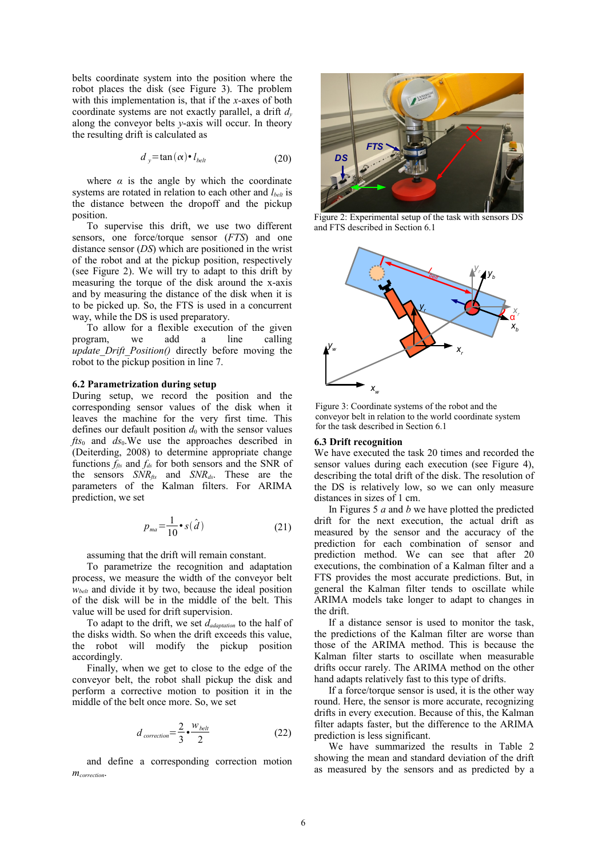belts coordinate system into the position where the robot places the disk (see Figure 3). The problem with this implementation is, that if the *x*-axes of both coordinate systems are not exactly parallel, a drift *d<sup>y</sup>* along the conveyor belts *y*-axis will occur. In theory the resulting drift is calculated as

$$
d_y = \tan(\alpha) \cdot l_{\text{belt}} \tag{20}
$$

where  $\alpha$  is the angle by which the coordinate systems are rotated in relation to each other and *l*<sub>belt</sub> is the distance between the dropoff and the pickup position.

To supervise this drift, we use two different sensors, one force/torque sensor (*FTS*) and one distance sensor (*DS*) which are positioned in the wrist of the robot and at the pickup position, respectively (see Figure 2). We will try to adapt to this drift by measuring the torque of the disk around the x-axis and by measuring the distance of the disk when it is to be picked up. So, the FTS is used in a concurrent way, while the DS is used preparatory.

To allow for a flexible execution of the given program, we add a line calling *update\_Drift\_Position()* directly before moving the robot to the pickup position in line 7.

### **6.2 Parametrization during setup**

During setup, we record the position and the corresponding sensor values of the disk when it leaves the machine for the very first time. This defines our default position  $d_0$  with the sensor values *fts*0 and *ds*0.We use the approaches described in (Deiterding, 2008) to determine appropriate change functions  $f_{\text{ffs}}$  and  $f_{\text{ds}}$  for both sensors and the SNR of the sensors *SNRfts* and *SNRds*. These are the parameters of the Kalman filters. For ARIMA prediction, we set

$$
p_{ma} = \frac{1}{10} \cdot s(\hat{d}) \tag{21}
$$

assuming that the drift will remain constant.

To parametrize the recognition and adaptation process, we measure the width of the conveyor belt *wbelt* and divide it by two, because the ideal position of the disk will be in the middle of the belt. This value will be used for drift supervision.

To adapt to the drift, we set *dadaptation* to the half of the disks width. So when the drift exceeds this value, the robot will modify the pickup position accordingly.

Finally, when we get to close to the edge of the conveyor belt, the robot shall pickup the disk and perform a corrective motion to position it in the middle of the belt once more. So, we set

$$
d_{correction} = \frac{2}{3} \cdot \frac{w_{belt}}{2}
$$
 (22)

and define a corresponding correction motion *mcorrection*.



Figure 2: Experimental setup of the task with sensors DS and FTS described in Section 6.1



Figure 3: Coordinate systems of the robot and the conveyor belt in relation to the world coordinate system for the task described in Section 6.1

### **6.3 Drift recognition**

We have executed the task 20 times and recorded the sensor values during each execution (see Figure 4), describing the total drift of the disk. The resolution of the DS is relatively low, so we can only measure distances in sizes of 1 cm.

In Figures 5 *a* and *b* we have plotted the predicted drift for the next execution, the actual drift as measured by the sensor and the accuracy of the prediction for each combination of sensor and prediction method. We can see that after 20 executions, the combination of a Kalman filter and a FTS provides the most accurate predictions. But, in general the Kalman filter tends to oscillate while ARIMA models take longer to adapt to changes in the drift.

If a distance sensor is used to monitor the task, the predictions of the Kalman filter are worse than those of the ARIMA method. This is because the Kalman filter starts to oscillate when measurable drifts occur rarely. The ARIMA method on the other hand adapts relatively fast to this type of drifts.

If a force/torque sensor is used, it is the other way round. Here, the sensor is more accurate, recognizing drifts in every execution. Because of this, the Kalman filter adapts faster, but the difference to the ARIMA prediction is less significant.

We have summarized the results in Table 2 showing the mean and standard deviation of the drift as measured by the sensors and as predicted by a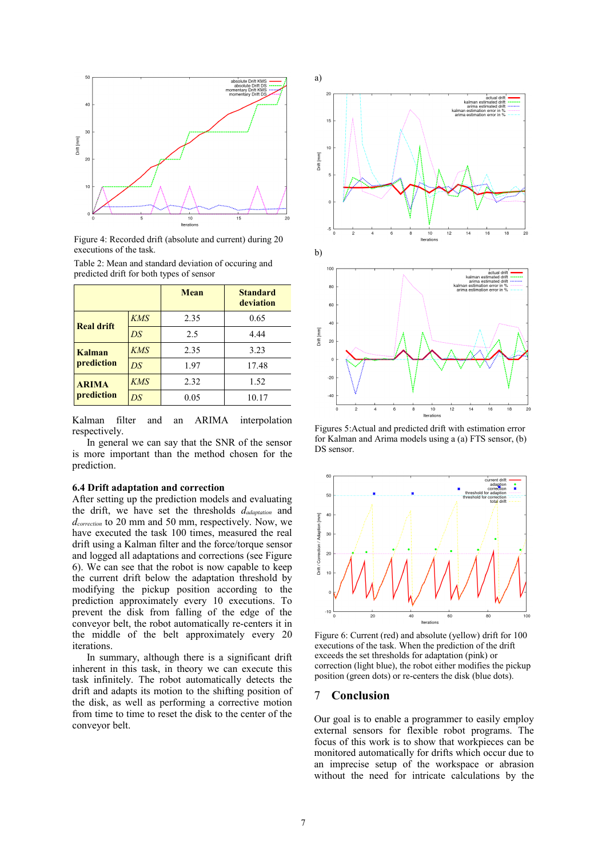

Figure 4: Recorded drift (absolute and current) during 20 executions of the task.

|                             |            | <b>Mean</b> | <b>Standard</b><br>deviation |  |
|-----------------------------|------------|-------------|------------------------------|--|
| <b>Real drift</b>           | <b>KMS</b> | 2.35        | 0.65                         |  |
|                             | DS         | 2.5         | 4.44                         |  |
| <b>Kalman</b><br>prediction | KMS        | 2.35        | 3.23                         |  |
|                             | DS         | 1.97        | 17.48                        |  |
| <b>ARIMA</b><br>prediction  | KMS        | 2.32        | 1.52                         |  |
|                             | DS         | 0.05        | 10.17                        |  |

Table 2: Mean and standard deviation of occuring and predicted drift for both types of sensor

Kalman filter and an ARIMA interpolation respectively.

In general we can say that the SNR of the sensor is more important than the method chosen for the prediction.

#### **6.4 Drift adaptation and correction**

After setting up the prediction models and evaluating the drift, we have set the thresholds *dadaptation* and *dcorrection* to 20 mm and 50 mm, respectively. Now, we have executed the task 100 times, measured the real drift using a Kalman filter and the force/torque sensor and logged all adaptations and corrections (see Figure 6). We can see that the robot is now capable to keep the current drift below the adaptation threshold by modifying the pickup position according to the prediction approximately every 10 executions. To prevent the disk from falling of the edge of the conveyor belt, the robot automatically re-centers it in the middle of the belt approximately every 20 iterations.

In summary, although there is a significant drift inherent in this task, in theory we can execute this task infinitely. The robot automatically detects the drift and adapts its motion to the shifting position of the disk, as well as performing a corrective motion from time to time to reset the disk to the center of the conveyor belt.



Figures 5:Actual and predicted drift with estimation error for Kalman and Arima models using a (a) FTS sensor, (b) DS sensor.



Figure 6: Current (red) and absolute (yellow) drift for 100 executions of the task. When the prediction of the drift exceeds the set thresholds for adaptation (pink) or correction (light blue), the robot either modifies the pickup position (green dots) or re-centers the disk (blue dots).

### 7 **Conclusion**

Our goal is to enable a programmer to easily employ external sensors for flexible robot programs. The focus of this work is to show that workpieces can be monitored automatically for drifts which occur due to an imprecise setup of the workspace or abrasion without the need for intricate calculations by the